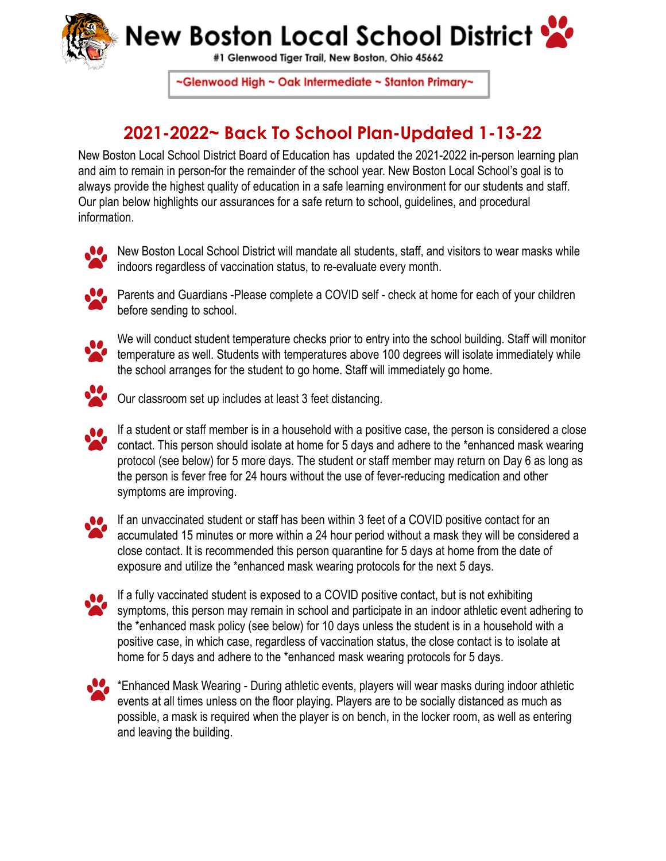

## New Boston Local School District

#1 Glenwood Tiger Trail, New Boston, Ohio 45662

~Glenwood High ~ Oak Intermediate ~ Stanton Primary~

## **2021-2022~ Back To School Plan-Updated 1-13-22**

New Boston Local School District Board of Education has updated the 2021-2022 in-person learning plan and aim to remain in person for the remainder of the school year. New Boston Local School's goal is to always provide the highest quality of education in a safe learning environment for our students and staff. Our plan below highlights our assurances for a safe return to school, guidelines, and procedural information.



New Boston Local School District will mandate all students, staff, and visitors to wear masks while indoors regardless of vaccination status, to re-evaluate every month.



**C** Parents and Guardians -Please complete a COVID self - check at home for each of your children before sending to school.



We will conduct student temperature checks prior to entry into the school building. Staff will monitor temperature as well. Students with temperatures above 100 degrees will isolate immediately while the school arranges for the student to go home. Staff will immediately go home.



Our classroom set up includes at least 3 feet distancing.

If a student or staff member is in a household with a positive case, the person is considered a close contact. This person should isolate at home for 5 days and adhere to the \*enhanced mask wearing protocol (see below) for 5 more days. The student or staff member may return on Day 6 as long as the person is fever free for 24 hours without the use of fever-reducing medication and other symptoms are improving.



If an unvaccinated student or staff has been within 3 feet of a COVID positive contact for an accumulated 15 minutes or more within a 24 hour period without a mask they will be considered a close contact. It is recommended this person quarantine for 5 days at home from the date of exposure and utilize the \*enhanced mask wearing protocols for the next 5 days.



If a fully vaccinated student is exposed to a COVID positive contact, but is not exhibiting symptoms, this person may remain in school and participate in an indoor athletic event adhering to the \*enhanced mask policy (see below) for 10 days unless the student is in a household with a positive case, in which case, regardless of vaccination status, the close contact is to isolate at home for 5 days and adhere to the \*enhanced mask wearing protocols for 5 days.



\*Enhanced Mask Wearing - During athletic events, players will wear masks during indoor athletic events at all times unless on the floor playing. Players are to be socially distanced as much as possible, a mask is required when the player is on bench, in the locker room, as well as entering and leaving the building.